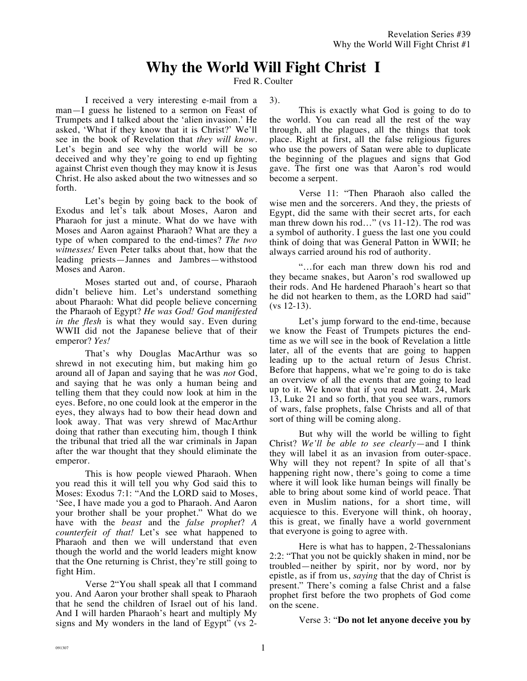## **Why the World Will Fight Christ I**

Fred R. Coulter

I received a very interesting e-mail from a man—I guess he listened to a sermon on Feast of Trumpets and I talked about the 'alien invasion.' He asked, 'What if they know that it is Christ?' We'll see in the book of Revelation that *they will know*. Let's begin and see why the world will be so deceived and why they're going to end up fighting against Christ even though they may know it is Jesus Christ. He also asked about the two witnesses and so forth.

Let's begin by going back to the book of Exodus and let's talk about Moses, Aaron and Pharaoh for just a minute. What do we have with Moses and Aaron against Pharaoh? What are they a type of when compared to the end-times? *The two witnesses!* Even Peter talks about that, how that the leading priests—Jannes and Jambres—withstood Moses and Aaron.

Moses started out and, of course, Pharaoh didn't believe him. Let's understand something about Pharaoh: What did people believe concerning the Pharaoh of Egypt? *He was God! God manifested in the flesh* is what they would say. Even during WWII did not the Japanese believe that of their emperor? *Yes!*

That's why Douglas MacArthur was so shrewd in not executing him, but making him go around all of Japan and saying that he was *not* God, and saying that he was only a human being and telling them that they could now look at him in the eyes. Before, no one could look at the emperor in the eyes, they always had to bow their head down and look away. That was very shrewd of MacArthur doing that rather than executing him, though I think the tribunal that tried all the war criminals in Japan after the war thought that they should eliminate the emperor.

This is how people viewed Pharaoh. When you read this it will tell you why God said this to Moses: Exodus 7:1: "And the LORD said to Moses, 'See, I have made you a god to Pharaoh. And Aaron your brother shall be your prophet." What do we have with the *beast* and the *false prophet*? *A counterfeit of that!* Let's see what happened to Pharaoh and then we will understand that even though the world and the world leaders might know that the One returning is Christ, they're still going to fight Him.

Verse 2"You shall speak all that I command you. And Aaron your brother shall speak to Pharaoh that he send the children of Israel out of his land. And I will harden Pharaoh's heart and multiply My signs and My wonders in the land of Egypt" (vs 23).

This is exactly what God is going to do to the world. You can read all the rest of the way through, all the plagues, all the things that took place. Right at first, all the false religious figures who use the powers of Satan were able to duplicate the beginning of the plagues and signs that God gave. The first one was that Aaron's rod would become a serpent.

Verse 11: "Then Pharaoh also called the wise men and the sorcerers. And they, the priests of Egypt, did the same with their secret arts, for each man threw down his rod…" (vs 11-12). The rod was a symbol of authority. I guess the last one you could think of doing that was General Patton in WWII; he always carried around his rod of authority.

"…for each man threw down his rod and they became snakes, but Aaron's rod swallowed up their rods. And He hardened Pharaoh's heart so that he did not hearken to them, as the LORD had said" (vs 12-13).

Let's jump forward to the end-time, because we know the Feast of Trumpets pictures the endtime as we will see in the book of Revelation a little later, all of the events that are going to happen leading up to the actual return of Jesus Christ. Before that happens, what we're going to do is take an overview of all the events that are going to lead up to it. We know that if you read Matt. 24, Mark 13, Luke 21 and so forth, that you see wars, rumors of wars, false prophets, false Christs and all of that sort of thing will be coming along.

But why will the world be willing to fight Christ? *We'll be able to see clearly*—and I think they will label it as an invasion from outer-space. Why will they not repent? In spite of all that's happening right now, there's going to come a time where it will look like human beings will finally be able to bring about some kind of world peace. That even in Muslim nations, for a short time, will acquiesce to this. Everyone will think, oh hooray, this is great, we finally have a world government that everyone is going to agree with.

Here is what has to happen, 2-Thessalonians 2:2: "That you not be quickly shaken in mind, nor be troubled—neither by spirit, nor by word, nor by epistle, as if from us, *saying* that the day of Christ is present." There's coming a false Christ and a false prophet first before the two prophets of God come on the scene.

Verse 3: "**Do not let anyone deceive you by**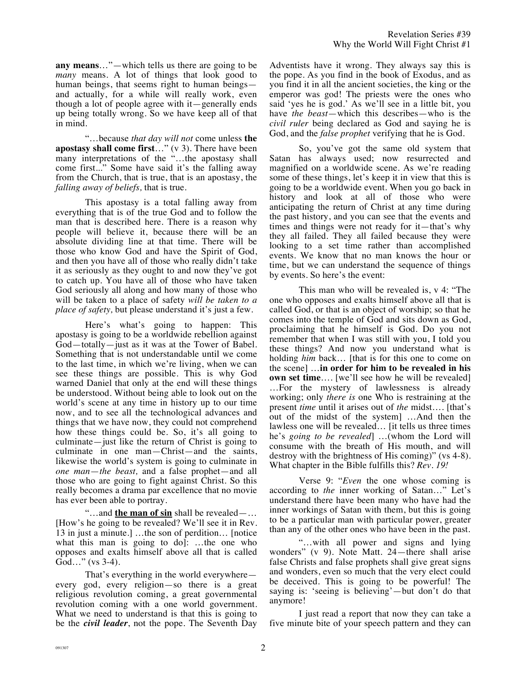**any means**…"—which tells us there are going to be *many* means. A lot of things that look good to human beings, that seems right to human beings and actually, for a while will really work, even though a lot of people agree with it—generally ends up being totally wrong. So we have keep all of that in mind.

"…because *that day will not* come unless **the apostasy shall come first**…" (v 3). There have been many interpretations of the "…the apostasy shall come first..." Some have said it's the falling away from the Church, that is true, that is an apostasy, the *falling away of beliefs,* that is true.

This apostasy is a total falling away from everything that is of the true God and to follow the man that is described here. There is a reason why people will believe it, because there will be an absolute dividing line at that time. There will be those who know God and have the Spirit of God, and then you have all of those who really didn't take it as seriously as they ought to and now they've got to catch up. You have all of those who have taken God seriously all along and how many of those who will be taken to a place of safety *will be taken to a place of safety,* but please understand it's just a few.

Here's what's going to happen: This apostasy is going to be a worldwide rebellion against God—totally—just as it was at the Tower of Babel. Something that is not understandable until we come to the last time, in which we're living, when we can see these things are possible. This is why God warned Daniel that only at the end will these things be understood. Without being able to look out on the world's scene at any time in history up to our time now, and to see all the technological advances and things that we have now, they could not comprehend how these things could be. So, it's all going to culminate—just like the return of Christ is going to culminate in one man—Christ—and the saints, likewise the world's system is going to culminate in *one man*—*the beast,* and a false prophet—and all those who are going to fight against Christ. So this really becomes a drama par excellence that no movie has ever been able to portray.

"…and **the man of sin** shall be revealed—… [How's he going to be revealed? We'll see it in Rev. 13 in just a minute.] …the son of perdition… [notice what this man is going to do]: ...the one who opposes and exalts himself above all that is called God…" (vs 3-4).

That's everything in the world everywhere every god, every religion—so there is a great religious revolution coming, a great governmental revolution coming with a one world government. What we need to understand is that this is going to be the *civil leader*, not the pope. The Seventh Day Adventists have it wrong. They always say this is the pope. As you find in the book of Exodus, and as you find it in all the ancient societies, the king or the emperor was god! The priests were the ones who said 'yes he is god.' As we'll see in a little bit, you have *the beast*—which this describes—who is the *civil ruler* being declared as God and saying he is God, and the *false prophet* verifying that he is God.

So, you've got the same old system that Satan has always used; now resurrected and magnified on a worldwide scene. As we're reading some of these things, let's keep it in view that this is going to be a worldwide event. When you go back in history and look at all of those who were anticipating the return of Christ at any time during the past history, and you can see that the events and times and things were not ready for it—that's why they all failed. They all failed because they were looking to a set time rather than accomplished events. We know that no man knows the hour or time, but we can understand the sequence of things by events. So here's the event:

This man who will be revealed is, v 4: "The one who opposes and exalts himself above all that is called God, or that is an object of worship; so that he comes into the temple of God and sits down as God, proclaiming that he himself is God. Do you not remember that when I was still with you, I told you these things? And now you understand what is holding *him* back… [that is for this one to come on the scene] …**in order for him to be revealed in his own set time....** [we'll see how he will be revealed] …For the mystery of lawlessness is already working; only *there is* one Who is restraining at the present *time* until it arises out of *the* midst…. [that's out of the midst of the system] …And then the lawless one will be revealed… [it tells us three times he's *going to be revealed*] …(whom the Lord will consume with the breath of His mouth, and will destroy with the brightness of His coming)" (vs 4-8). What chapter in the Bible fulfills this? *Rev. 19!*

Verse 9: "*Even* the one whose coming is according to *the* inner working of Satan…" Let's understand there have been many who have had the inner workings of Satan with them, but this is going to be a particular man with particular power, greater than any of the other ones who have been in the past.

"…with all power and signs and lying wonders" (v 9). Note Matt. 24—there shall arise false Christs and false prophets shall give great signs and wonders, even so much that the very elect could be deceived. This is going to be powerful! The saying is: 'seeing is believing'—but don't do that anymore!

I just read a report that now they can take a five minute bite of your speech pattern and they can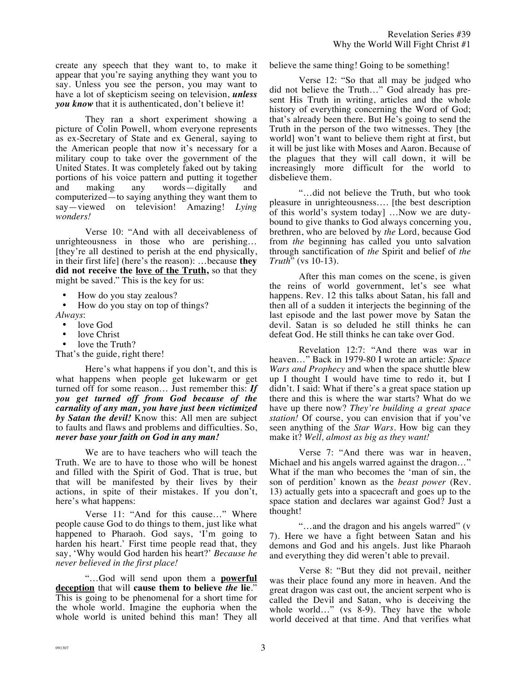create any speech that they want to, to make it appear that you're saying anything they want you to say. Unless you see the person, you may want to have a lot of skepticism seeing on television, *unless you know* that it is authenticated, don't believe it!

They ran a short experiment showing a picture of Colin Powell, whom everyone represents as ex-Secretary of State and ex General, saying to the American people that now it's necessary for a military coup to take over the government of the United States. It was completely faked out by taking portions of his voice pattern and putting it together and making any words—digitally and computerized—to saying anything they want them to say—viewed on television! Amazing! *Lying wonders!*

Verse 10: "And with all deceivableness of unrighteousness in those who are perishing… [they're all destined to perish at the end physically, in their first life] (here's the reason): …because **they did not receive the love of the Truth,** so that they might be saved." This is the key for us:

• How do you stay zealous?<br>• How do you stay on top of

• How do you stay on top of things?

*Always*:

- love God
- love Christ

love the Truth? That's the guide, right there!

Here's what happens if you don't, and this is what happens when people get lukewarm or get turned off for some reason… Just remember this: *If you get turned off from God because of the carnality of any man, you have just been victimized by Satan the devil!* Know this: All men are subject to faults and flaws and problems and difficulties. So, *never base your faith on God in any man!*

We are to have teachers who will teach the Truth. We are to have to those who will be honest and filled with the Spirit of God. That is true, but that will be manifested by their lives by their actions, in spite of their mistakes. If you don't, here's what happens:

Verse 11: "And for this cause…" Where people cause God to do things to them, just like what happened to Pharaoh. God says, 'I'm going to harden his heart.' First time people read that, they say, 'Why would God harden his heart?' *Because he never believed in the first place!*

"…God will send upon them a **powerful deception** that will **cause them to believe** *the* **lie**." This is going to be phenomenal for a short time for the whole world. Imagine the euphoria when the whole world is united behind this man! They all believe the same thing! Going to be something!

Verse 12: "So that all may be judged who did not believe the Truth…" God already has present His Truth in writing, articles and the whole history of everything concerning the Word of God; that's already been there. But He's going to send the Truth in the person of the two witnesses. They [the world] won't want to believe them right at first, but it will be just like with Moses and Aaron. Because of the plagues that they will call down, it will be increasingly more difficult for the world to disbelieve them.

"…did not believe the Truth, but who took pleasure in unrighteousness…. [the best description of this world's system today] …Now we are dutybound to give thanks to God always concerning you, brethren, who are beloved by *the* Lord, because God from *the* beginning has called you unto salvation through sanctification of *the* Spirit and belief of *the Truth*" (vs 10-13).

After this man comes on the scene, is given the reins of world government, let's see what happens. Rev. 12 this talks about Satan, his fall and then all of a sudden it interjects the beginning of the last episode and the last power move by Satan the devil. Satan is so deluded he still thinks he can defeat God. He still thinks he can take over God.

Revelation 12:7: "And there was war in heaven…" Back in 1979-80 I wrote an article: *Space Wars and Prophecy* and when the space shuttle blew up I thought I would have time to redo it, but I didn't. I said: What if there's a great space station up there and this is where the war starts? What do we have up there now? *They're building a great space station!* Of course, you can envision that if you've seen anything of the *Star Wars*. How big can they make it? *Well, almost as big as they want!*

Verse 7: "And there was war in heaven, Michael and his angels warred against the dragon…" What if the man who becomes the 'man of sin, the son of perdition' known as the *beast power* (Rev. 13) actually gets into a spacecraft and goes up to the space station and declares war against God? Just a thought!

"…and the dragon and his angels warred" (v 7). Here we have a fight between Satan and his demons and God and his angels. Just like Pharaoh and everything they did weren't able to prevail.

Verse 8: "But they did not prevail, neither was their place found any more in heaven. And the great dragon was cast out, the ancient serpent who is called the Devil and Satan, who is deceiving the whole world..." (vs 8-9). They have the whole world deceived at that time. And that verifies what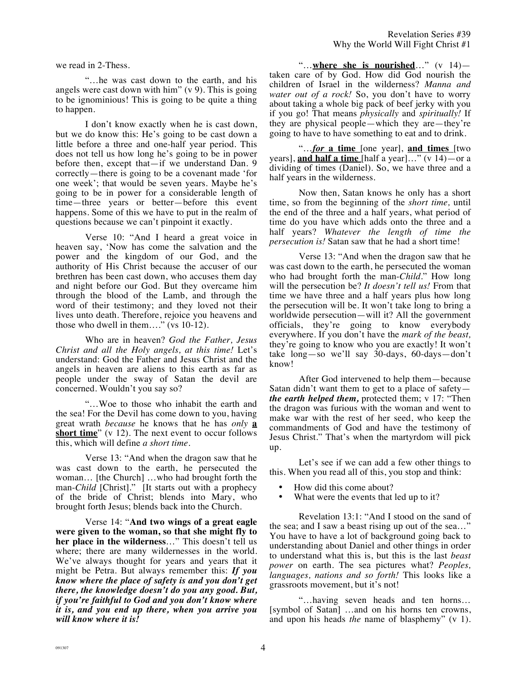we read in 2-Thess.

"…he was cast down to the earth, and his angels were cast down with him" (v 9). This is going to be ignominious! This is going to be quite a thing to happen.

I don't know exactly when he is cast down, but we do know this: He's going to be cast down a little before a three and one-half year period. This does not tell us how long he's going to be in power before then, except that—if we understand Dan. 9 correctly—there is going to be a covenant made 'for one week'; that would be seven years. Maybe he's going to be in power for a considerable length of time—three years or better—before this event happens. Some of this we have to put in the realm of questions because we can't pinpoint it exactly.

Verse 10: "And I heard a great voice in heaven say, 'Now has come the salvation and the power and the kingdom of our God, and the authority of His Christ because the accuser of our brethren has been cast down, who accuses them day and night before our God. But they overcame him through the blood of the Lamb, and through the word of their testimony; and they loved not their lives unto death. Therefore, rejoice you heavens and those who dwell in them…." (vs 10-12).

Who are in heaven? *God the Father, Jesus Christ and all the Holy angels, at this time!* Let's understand: God the Father and Jesus Christ and the angels in heaven are aliens to this earth as far as people under the sway of Satan the devil are concerned. Wouldn't you say so?

"…Woe to those who inhabit the earth and the sea! For the Devil has come down to you, having great wrath *because* he knows that he has *only* **a short time**" (v 12). The next event to occur follows this, which will define *a short time*.

Verse 13: "And when the dragon saw that he was cast down to the earth, he persecuted the woman… [the Church] …who had brought forth the man-*Child* [Christ]." [It starts out with a prophecy of the bride of Christ; blends into Mary, who brought forth Jesus; blends back into the Church.

Verse 14: "**And two wings of a great eagle were given to the woman, so that she might fly to her place in the wilderness**…" This doesn't tell us where; there are many wildernesses in the world. We've always thought for years and years that it might be Petra. But always remember this: *If you know where the place of safety is and you don't get there, the knowledge doesn't do you any good. But, if you're faithful to God and you don't know where it is, and you end up there, when you arrive you will know where it is!*

"…**where she is nourished**…" (v 14) taken care of by God. How did God nourish the children of Israel in the wilderness? *Manna and water out of a rock!* So, you don't have to worry about taking a whole big pack of beef jerky with you if you go! That means *physically* and *spiritually!* If they are physical people—which they are—they're going to have to have something to eat and to drink.

"…*for* **a time** [one year], **and times** [two years], **and half a time** [half a year]…" (v 14)—or a dividing of times (Daniel). So, we have three and a half years in the wilderness.

Now then, Satan knows he only has a short time, so from the beginning of the *short time,* until the end of the three and a half years, what period of time do you have which adds onto the three and a half years? *Whatever the length of time the persecution is!* Satan saw that he had a short time!

Verse 13: "And when the dragon saw that he was cast down to the earth, he persecuted the woman who had brought forth the man-*Child.*" How long will the persecution be? *It doesn't tell us!* From that time we have three and a half years plus how long the persecution will be. It won't take long to bring a worldwide persecution—will it? All the government officials, they're going to know everybody everywhere. If you don't have the *mark of the beast,* they're going to know who you are exactly! It won't take long—so we'll say 30-days, 60-days—don't know!

After God intervened to help them—because Satan didn't want them to get to a place of safety *the earth helped them,* protected them; v 17: "Then the dragon was furious with the woman and went to make war with the rest of her seed, who keep the commandments of God and have the testimony of Jesus Christ." That's when the martyrdom will pick up.

Let's see if we can add a few other things to this. When you read all of this, you stop and think:

- How did this come about?
- What were the events that led up to it?

Revelation 13:1: "And I stood on the sand of the sea; and I saw a beast rising up out of the sea…" You have to have a lot of background going back to understanding about Daniel and other things in order to understand what this is, but this is the last *beast power* on earth. The sea pictures what? *Peoples, languages, nations and so forth!* This looks like a grassroots movement, but it's not!

"…having seven heads and ten horns… [symbol of Satan] …and on his horns ten crowns, and upon his heads *the* name of blasphemy" (v 1).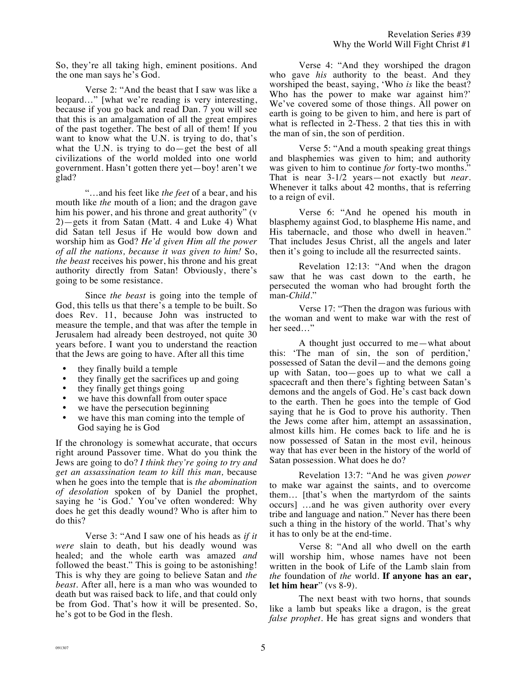So, they're all taking high, eminent positions. And the one man says he's God.

Verse 2: "And the beast that I saw was like a leopard…" [what we're reading is very interesting, because if you go back and read Dan. 7 you will see that this is an amalgamation of all the great empires of the past together. The best of all of them! If you want to know what the U.N. is trying to do, that's what the U.N. is trying to do—get the best of all civilizations of the world molded into one world government. Hasn't gotten there yet—boy! aren't we glad?

"…and his feet like *the feet* of a bear, and his mouth like *the* mouth of a lion; and the dragon gave him his power, and his throne and great authority" (v 2)—gets it from Satan (Matt. 4 and Luke 4) What did Satan tell Jesus if He would bow down and worship him as God? *He'd given Him all the power of all the nations, because it was given to him!* So, *the beast* receives his power, his throne and his great authority directly from Satan! Obviously, there's going to be some resistance.

Since *the beast* is going into the temple of God, this tells us that there's a temple to be built. So does Rev. 11, because John was instructed to measure the temple, and that was after the temple in Jerusalem had already been destroyed, not quite 30 years before. I want you to understand the reaction that the Jews are going to have. After all this time

- they finally build a temple
- they finally get the sacrifices up and going<br>  $\bullet$  they finally get things going
- they finally get things going
- we have this downfall from outer space
- we have the persecution beginning
- we have this man coming into the temple of God saying he is God

If the chronology is somewhat accurate, that occurs right around Passover time. What do you think the Jews are going to do? *I think they're going to try and get an assassination team to kill this man,* because when he goes into the temple that is *the abomination of desolation* spoken of by Daniel the prophet, saying he 'is God.' You've often wondered: Why does he get this deadly wound? Who is after him to do this?

Verse 3: "And I saw one of his heads as *if it were* slain to death, but his deadly wound was healed; and the whole earth was amazed *and* followed the beast." This is going to be astonishing! This is why they are going to believe Satan and *the beast*. After all, here is a man who was wounded to death but was raised back to life, and that could only be from God. That's how it will be presented. So, he's got to be God in the flesh.

Verse 4: "And they worshiped the dragon who gave *his* authority to the beast. And they worshiped the beast, saying, 'Who *is* like the beast? Who has the power to make war against him?' We've covered some of those things. All power on earth is going to be given to him, and here is part of what is reflected in 2-Thess. 2 that ties this in with the man of sin, the son of perdition.

Verse 5: "And a mouth speaking great things and blasphemies was given to him; and authority was given to him to continue *for* forty-two months." That is near 3-1/2 years—not exactly but *near*. Whenever it talks about 42 months, that is referring to a reign of evil.

Verse 6: "And he opened his mouth in blasphemy against God, to blaspheme His name, and His tabernacle, and those who dwell in heaven." That includes Jesus Christ, all the angels and later then it's going to include all the resurrected saints.

Revelation 12:13: "And when the dragon saw that he was cast down to the earth, he persecuted the woman who had brought forth the man-*Child*."

Verse 17: "Then the dragon was furious with the woman and went to make war with the rest of her seed…"

A thought just occurred to me—what about this: 'The man of sin, the son of perdition,' possessed of Satan the devil—and the demons going up with Satan, too—goes up to what we call a spacecraft and then there's fighting between Satan's demons and the angels of God. He's cast back down to the earth. Then he goes into the temple of God saying that he is God to prove his authority. Then the Jews come after him, attempt an assassination, almost kills him. He comes back to life and he is now possessed of Satan in the most evil, heinous way that has ever been in the history of the world of Satan possession. What does he do?

Revelation 13:7: "And he was given *power*  to make war against the saints, and to overcome them… [that's when the martyrdom of the saints occurs] …and he was given authority over every tribe and language and nation." Never has there been such a thing in the history of the world. That's why it has to only be at the end-time.

Verse 8: "And all who dwell on the earth will worship him, whose names have not been written in the book of Life of the Lamb slain from *the* foundation of *the* world. **If anyone has an ear, let him hear**" (vs 8-9).

The next beast with two horns, that sounds like a lamb but speaks like a dragon, is the great *false prophet*. He has great signs and wonders that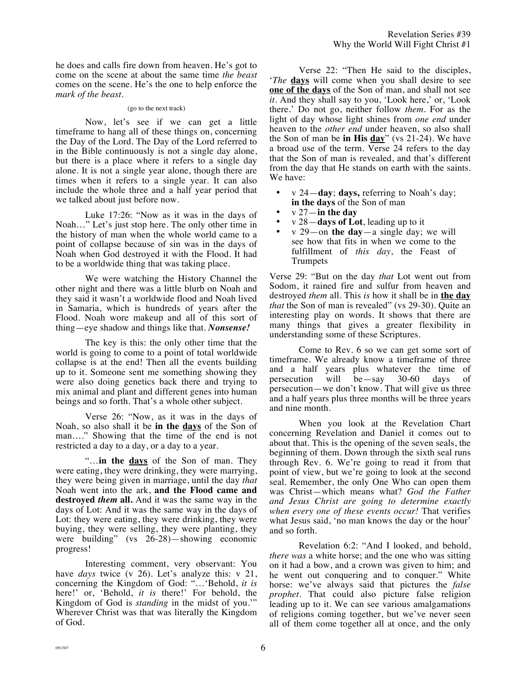he does and calls fire down from heaven. He's got to come on the scene at about the same time *the beast* comes on the scene. He's the one to help enforce the *mark of the beast.*

## (go to the next track)

Now, let's see if we can get a little timeframe to hang all of these things on, concerning the Day of the Lord. The Day of the Lord referred to in the Bible continuously is not a single day alone, but there is a place where it refers to a single day alone. It is not a single year alone, though there are times when it refers to a single year. It can also include the whole three and a half year period that we talked about just before now.

Luke 17:26: "Now as it was in the days of Noah…" Let's just stop here. The only other time in the history of man when the whole world came to a point of collapse because of sin was in the days of Noah when God destroyed it with the Flood. It had to be a worldwide thing that was taking place.

We were watching the History Channel the other night and there was a little blurb on Noah and they said it wasn't a worldwide flood and Noah lived in Samaria, which is hundreds of years after the Flood. Noah wore makeup and all of this sort of thing—eye shadow and things like that. *Nonsense!* 

The key is this: the only other time that the world is going to come to a point of total worldwide collapse is at the end! Then all the events building up to it. Someone sent me something showing they were also doing genetics back there and trying to mix animal and plant and different genes into human beings and so forth. That's a whole other subject.

Verse 26: "Now, as it was in the days of Noah, so also shall it be **in the days** of the Son of man…." Showing that the time of the end is not restricted a day to a day, or a day to a year.

"…**in the days** of the Son of man. They were eating, they were drinking, they were marrying, they were being given in marriage, until the day *that* Noah went into the ark, **and the Flood came and destroyed** *them* **all.** And it was the same way in the days of Lot: And it was the same way in the days of Lot: they were eating, they were drinking, they were buying, they were selling, they were planting, they were building" (vs 26-28)—showing economic progress!

Interesting comment, very observant: You have *days* twice (v 26). Let's analyze this: v 21, concerning the Kingdom of God: "…'Behold, *it is*  here!' or, 'Behold, *it is* there!' For behold, the Kingdom of God is *standing* in the midst of you.'" Wherever Christ was that was literally the Kingdom of God.

Verse 22: "Then He said to the disciples, '*The* **days** will come when you shall desire to see **one of the days** of the Son of man, and shall not see *it.* And they shall say to you, 'Look here,' or, 'Look there.' Do not go, neither follow *them*. For as the light of day whose light shines from *one end* under heaven to the *other end* under heaven, so also shall the Son of man be **in His day**" (vs 21-24). We have a broad use of the term. Verse 24 refers to the day that the Son of man is revealed, and that's different from the day that He stands on earth with the saints. We have:

- v 24—**day**; **days,** referring to Noah's day; **in the days** of the Son of man
- v 27—**in the day**
- v 28—**days of Lot**, leading up to it
- v 29—on **the day**—a single day; we will see how that fits in when we come to the fulfillment of *this day*, the Feast of Trumpets

Verse 29: "But on the day *that* Lot went out from Sodom, it rained fire and sulfur from heaven and destroyed *them* all. This *is* how it shall be in **the day** *that* the Son of man is revealed" (vs 29-30). Quite an interesting play on words. It shows that there are many things that gives a greater flexibility in understanding some of these Scriptures.

Come to Rev. 6 so we can get some sort of timeframe. We already know a timeframe of three and a half years plus whatever the time of persecution will be -say 30-60 days of persecution will be—say 30-60 days of persecution—we don't know. That will give us three and a half years plus three months will be three years and nine month.

When you look at the Revelation Chart concerning Revelation and Daniel it comes out to about that. This is the opening of the seven seals, the beginning of them. Down through the sixth seal runs through Rev. 6. We're going to read it from that point of view, but we're going to look at the second seal. Remember, the only One Who can open them was Christ—which means what? *God the Father and Jesus Christ are going to determine exactly when every one of these events occur!* That verifies what Jesus said, 'no man knows the day or the hour' and so forth.

Revelation 6:2: "And I looked, and behold, *there was* a white horse; and the one who was sitting on it had a bow, and a crown was given to him; and he went out conquering and to conquer." White horse: we've always said that pictures the *false prophet.* That could also picture false religion leading up to it. We can see various amalgamations of religions coming together, but we've never seen all of them come together all at once, and the only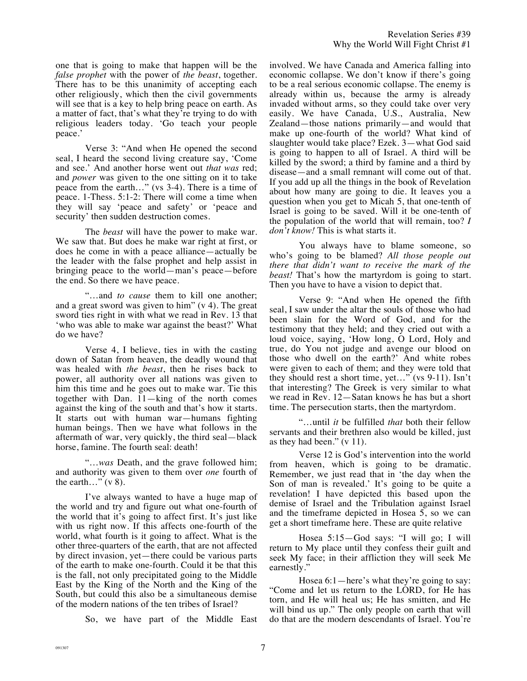one that is going to make that happen will be the *false prophet* with the power of *the beast*, together. There has to be this unanimity of accepting each other religiously, which then the civil governments will see that is a key to help bring peace on earth. As a matter of fact, that's what they're trying to do with religious leaders today. 'Go teach your people peace.'

Verse 3: "And when He opened the second seal, I heard the second living creature say, 'Come and see.' And another horse went out *that was* red; and *power* was given to the one sitting on it to take peace from the earth…" (vs 3-4). There is a time of peace. 1-Thess. 5:1-2: There will come a time when they will say 'peace and safety' or 'peace and security' then sudden destruction comes.

The *beast* will have the power to make war. We saw that. But does he make war right at first, or does he come in with a peace alliance—actually be the leader with the false prophet and help assist in bringing peace to the world—man's peace—before the end. So there we have peace.

"…and *to cause* them to kill one another; and a great sword was given to him" (v 4). The great sword ties right in with what we read in Rev. 13 that 'who was able to make war against the beast?' What do we have?

Verse 4, I believe, ties in with the casting down of Satan from heaven, the deadly wound that was healed with *the beast*, then he rises back to power, all authority over all nations was given to him this time and he goes out to make war. Tie this together with Dan. 11—king of the north comes against the king of the south and that's how it starts. It starts out with human war—humans fighting human beings. Then we have what follows in the aftermath of war, very quickly, the third seal—black horse, famine. The fourth seal: death!

"…*was* Death, and the grave followed him; and authority was given to them over *one* fourth of the earth..."  $(v 8)$ .

I've always wanted to have a huge map of the world and try and figure out what one-fourth of the world that it's going to affect first. It's just like with us right now. If this affects one-fourth of the world, what fourth is it going to affect. What is the other three-quarters of the earth, that are not affected by direct invasion, yet—there could be various parts of the earth to make one-fourth. Could it be that this is the fall, not only precipitated going to the Middle East by the King of the North and the King of the South, but could this also be a simultaneous demise of the modern nations of the ten tribes of Israel?

So, we have part of the Middle East

involved. We have Canada and America falling into economic collapse. We don't know if there's going to be a real serious economic collapse. The enemy is already within us, because the army is already invaded without arms, so they could take over very easily. We have Canada, U.S., Australia, New Zealand—those nations primarily—and would that make up one-fourth of the world? What kind of slaughter would take place? Ezek. 3—what God said is going to happen to all of Israel. A third will be killed by the sword; a third by famine and a third by disease—and a small remnant will come out of that. If you add up all the things in the book of Revelation about how many are going to die. It leaves you a question when you get to Micah 5, that one-tenth of Israel is going to be saved. Will it be one-tenth of the population of the world that will remain, too? *I don't know!* This is what starts it.

You always have to blame someone, so who's going to be blamed? *All those people out there that didn't want to receive the mark of the beast!* That's how the martyrdom is going to start. Then you have to have a vision to depict that.

Verse 9: "And when He opened the fifth seal, I saw under the altar the souls of those who had been slain for the Word of God, and for the testimony that they held; and they cried out with a loud voice, saying, 'How long, O Lord, Holy and true, do You not judge and avenge our blood on those who dwell on the earth?' And white robes were given to each of them; and they were told that they should rest a short time, yet…" (vs 9-11). Isn't that interesting? The Greek is very similar to what we read in Rev. 12—Satan knows he has but a short time. The persecution starts, then the martyrdom.

"…until *it* be fulfilled *that* both their fellow servants and their brethren also would be killed, just as they had been." (v 11).

Verse 12 is God's intervention into the world from heaven, which is going to be dramatic. Remember, we just read that in 'the day when the Son of man is revealed.' It's going to be quite a revelation! I have depicted this based upon the demise of Israel and the Tribulation against Israel and the timeframe depicted in Hosea 5, so we can get a short timeframe here. These are quite relative

Hosea 5:15—God says: "I will go; I will return to My place until they confess their guilt and seek My face; in their affliction they will seek Me earnestly."

Hosea 6:1—here's what they're going to say: "Come and let us return to the LORD, for He has torn, and He will heal us; He has smitten, and He will bind us up." The only people on earth that will do that are the modern descendants of Israel. You're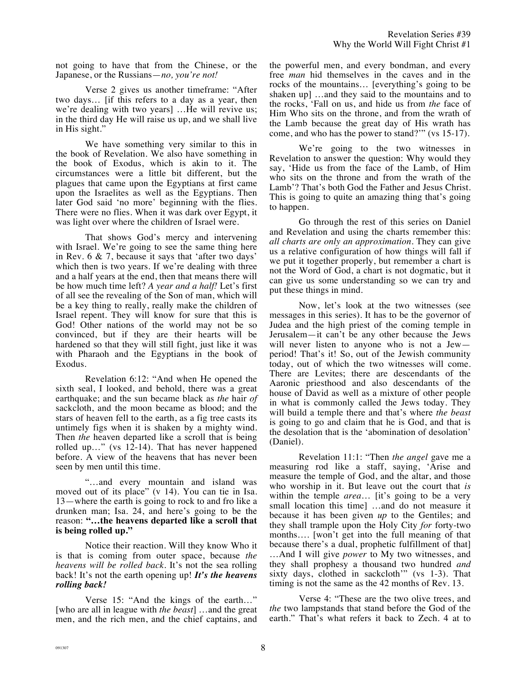not going to have that from the Chinese, or the Japanese, or the Russians—*no, you're not!*

Verse 2 gives us another timeframe: "After two days… [if this refers to a day as a year, then we're dealing with two years] …He will revive us; in the third day He will raise us up, and we shall live in His sight."

We have something very similar to this in the book of Revelation. We also have something in the book of Exodus, which is akin to it. The circumstances were a little bit different, but the plagues that came upon the Egyptians at first came upon the Israelites as well as the Egyptians. Then later God said 'no more' beginning with the flies. There were no flies. When it was dark over Egypt, it was light over where the children of Israel were.

That shows God's mercy and intervening with Israel. We're going to see the same thing here in Rev. 6 & 7, because it says that 'after two days' which then is two years. If we're dealing with three and a half years at the end, then that means there will be how much time left? *A year and a half!* Let's first of all see the revealing of the Son of man, which will be a key thing to really, really make the children of Israel repent. They will know for sure that this is God! Other nations of the world may not be so convinced, but if they are their hearts will be hardened so that they will still fight, just like it was with Pharaoh and the Egyptians in the book of Exodus.

Revelation 6:12: "And when He opened the sixth seal, I looked, and behold, there was a great earthquake; and the sun became black as *the* hair *of* sackcloth, and the moon became as blood; and the stars of heaven fell to the earth, as a fig tree casts its untimely figs when it is shaken by a mighty wind. Then *the* heaven departed like a scroll that is being rolled up…" (vs 12-14). That has never happened before. A view of the heavens that has never been seen by men until this time.

"…and every mountain and island was moved out of its place" (v 14). You can tie in Isa. 13—where the earth is going to rock to and fro like a drunken man; Isa. 24, and here's going to be the reason: **"…the heavens departed like a scroll that is being rolled up."**

Notice their reaction. Will they know Who it is that is coming from outer space, because *the heavens will be rolled back.* It's not the sea rolling back! It's not the earth opening up! *It's the heavens rolling back!*

Verse 15: "And the kings of the earth…" [who are all in league with *the beast*] …and the great men, and the rich men, and the chief captains, and

the powerful men, and every bondman, and every free *man* hid themselves in the caves and in the rocks of the mountains… [everything's going to be shaken up] …and they said to the mountains and to the rocks, 'Fall on us, and hide us from *the* face of Him Who sits on the throne, and from the wrath of the Lamb because the great day of His wrath has come, and who has the power to stand?'" (vs 15-17).

We're going to the two witnesses in Revelation to answer the question: Why would they say, 'Hide us from the face of the Lamb, of Him who sits on the throne and from the wrath of the Lamb'? That's both God the Father and Jesus Christ. This is going to quite an amazing thing that's going to happen.

Go through the rest of this series on Daniel and Revelation and using the charts remember this: *all charts are only an approximation.* They can give us a relative configuration of how things will fall if we put it together properly, but remember a chart is not the Word of God, a chart is not dogmatic, but it can give us some understanding so we can try and put these things in mind.

Now, let's look at the two witnesses (see messages in this series). It has to be the governor of Judea and the high priest of the coming temple in Jerusalem—it can't be any other because the Jews will never listen to anyone who is not a Jewperiod! That's it! So, out of the Jewish community today, out of which the two witnesses will come. There are Levites; there are descendants of the Aaronic priesthood and also descendants of the house of David as well as a mixture of other people in what is commonly called the Jews today. They will build a temple there and that's where *the beast* is going to go and claim that he is God, and that is the desolation that is the 'abomination of desolation' (Daniel).

Revelation 11:1: "Then *the angel* gave me a measuring rod like a staff, saying, 'Arise and measure the temple of God, and the altar, and those who worship in it. But leave out the court that *is* within the temple *area*… [it's going to be a very small location this time] …and do not measure it because it has been given *up* to the Gentiles; and they shall trample upon the Holy City *for* forty-two months…. [won't get into the full meaning of that because there's a dual, prophetic fulfillment of that] …And I will give *power* to My two witnesses, and they shall prophesy a thousand two hundred *and* sixty days, clothed in sackcloth'" (vs 1-3). That timing is not the same as the 42 months of Rev. 13.

Verse 4: "These are the two olive trees, and *the* two lampstands that stand before the God of the earth." That's what refers it back to Zech. 4 at to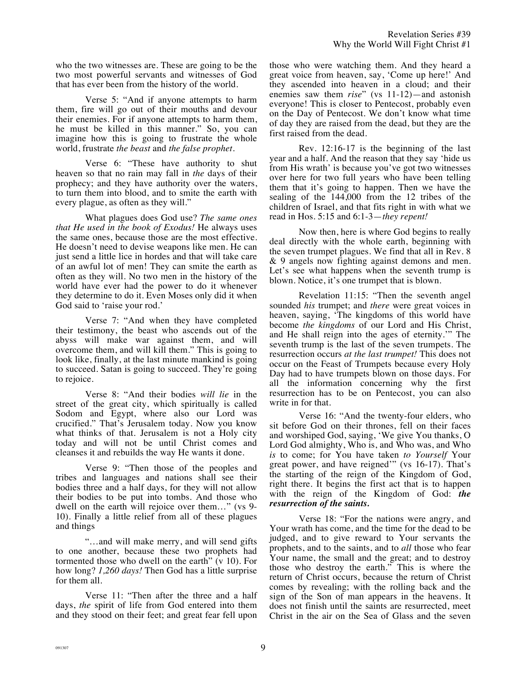who the two witnesses are. These are going to be the two most powerful servants and witnesses of God that has ever been from the history of the world.

Verse 5: "And if anyone attempts to harm them, fire will go out of their mouths and devour their enemies. For if anyone attempts to harm them, he must be killed in this manner." So, you can imagine how this is going to frustrate the whole world, frustrate *the beast* and *the false prophet*.

Verse 6: "These have authority to shut heaven so that no rain may fall in *the* days of their prophecy; and they have authority over the waters, to turn them into blood, and to smite the earth with every plague, as often as they will."

What plagues does God use? *The same ones that He used in the book of Exodus!* He always uses the same ones, because those are the most effective. He doesn't need to devise weapons like men. He can just send a little lice in hordes and that will take care of an awful lot of men! They can smite the earth as often as they will. No two men in the history of the world have ever had the power to do it whenever they determine to do it. Even Moses only did it when God said to 'raise your rod.'

Verse 7: "And when they have completed their testimony, the beast who ascends out of the abyss will make war against them, and will overcome them, and will kill them." This is going to look like, finally, at the last minute mankind is going to succeed. Satan is going to succeed. They're going to rejoice.

Verse 8: "And their bodies *will lie* in the street of the great city, which spiritually is called Sodom and Egypt, where also our Lord was crucified." That's Jerusalem today. Now you know what thinks of that. Jerusalem is not a Holy city today and will not be until Christ comes and cleanses it and rebuilds the way He wants it done.

Verse 9: "Then those of the peoples and tribes and languages and nations shall see their bodies three and a half days, for they will not allow their bodies to be put into tombs. And those who dwell on the earth will rejoice over them…" (vs 9- 10). Finally a little relief from all of these plagues and things

"…and will make merry, and will send gifts to one another, because these two prophets had tormented those who dwell on the earth" (v 10). For how long? *1,260 days!* Then God has a little surprise for them all.

Verse 11: "Then after the three and a half days, *the* spirit of life from God entered into them and they stood on their feet; and great fear fell upon those who were watching them. And they heard a great voice from heaven, say, 'Come up here!' And they ascended into heaven in a cloud; and their enemies saw them *rise*" (vs 11-12)—and astonish everyone! This is closer to Pentecost, probably even on the Day of Pentecost. We don't know what time of day they are raised from the dead, but they are the first raised from the dead.

Rev. 12:16-17 is the beginning of the last year and a half. And the reason that they say 'hide us from His wrath' is because you've got two witnesses over here for two full years who have been telling them that it's going to happen. Then we have the sealing of the 144,000 from the 12 tribes of the children of Israel, and that fits right in with what we read in Hos. 5:15 and 6:1-3—*they repent!*

Now then, here is where God begins to really deal directly with the whole earth, beginning with the seven trumpet plagues. We find that all in Rev. 8 & 9 angels now fighting against demons and men. Let's see what happens when the seventh trump is blown. Notice, it's one trumpet that is blown.

Revelation 11:15: "Then the seventh angel sounded *his* trumpet; and *there* were great voices in heaven, saying, 'The kingdoms of this world have become *the kingdoms* of our Lord and His Christ, and He shall reign into the ages of eternity.'" The seventh trump is the last of the seven trumpets. The resurrection occurs *at the last trumpet!* This does not occur on the Feast of Trumpets because every Holy Day had to have trumpets blown on those days. For all the information concerning why the first resurrection has to be on Pentecost, you can also write in for that.

Verse 16: "And the twenty-four elders, who sit before God on their thrones, fell on their faces and worshiped God, saying, 'We give You thanks, O Lord God almighty, Who is, and Who was, and Who *is* to come; for You have taken *to Yourself* Your great power, and have reigned'" (vs 16-17). That's the starting of the reign of the Kingdom of God, right there. It begins the first act that is to happen with the reign of the Kingdom of God: *the resurrection of the saints.*

Verse 18: "For the nations were angry, and Your wrath has come, and the time for the dead to be judged, and to give reward to Your servants the prophets, and to the saints, and to *all* those who fear Your name, the small and the great; and to destroy those who destroy the earth." This is where the return of Christ occurs, because the return of Christ comes by revealing; with the rolling back and the sign of the Son of man appears in the heavens. It does not finish until the saints are resurrected, meet Christ in the air on the Sea of Glass and the seven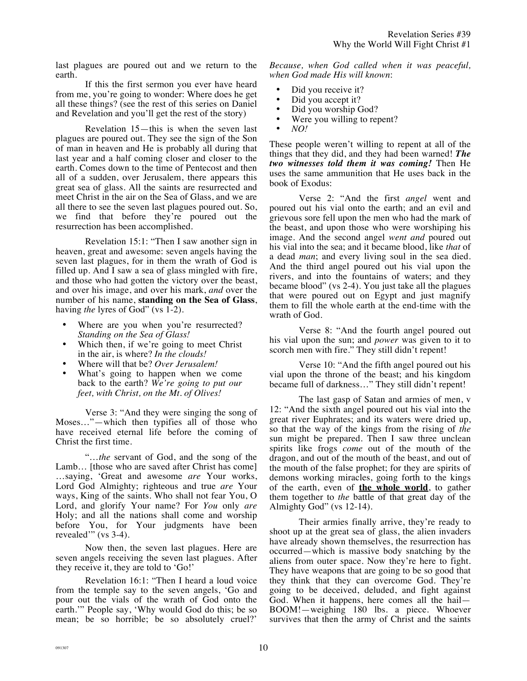last plagues are poured out and we return to the earth.

If this the first sermon you ever have heard from me, you're going to wonder: Where does he get all these things? (see the rest of this series on Daniel and Revelation and you'll get the rest of the story)

Revelation 15—this is when the seven last plagues are poured out. They see the sign of the Son of man in heaven and He is probably all during that last year and a half coming closer and closer to the earth. Comes down to the time of Pentecost and then all of a sudden, over Jerusalem, there appears this great sea of glass. All the saints are resurrected and meet Christ in the air on the Sea of Glass, and we are all there to see the seven last plagues poured out. So, we find that before they're poured out the resurrection has been accomplished.

Revelation 15:1: "Then I saw another sign in heaven, great and awesome: seven angels having the seven last plagues, for in them the wrath of God is filled up. And I saw a sea of glass mingled with fire, and those who had gotten the victory over the beast, and over his image, and over his mark, *and* over the number of his name, **standing on the Sea of Glass**, having *the* lyres of God" (vs 1-2).

- Where are you when you're resurrected? *Standing on the Sea of Glass!*
- Which then, if we're going to meet Christ in the air, is where? *In the clouds!*
- Where will that be? *Over Jerusalem!*
- What's going to happen when we come back to the earth? *We're going to put our feet, with Christ, on the Mt. of Olives!*

Verse 3: "And they were singing the song of Moses…"—which then typifies all of those who have received eternal life before the coming of Christ the first time.

"…*the* servant of God, and the song of the Lamb… [those who are saved after Christ has come] …saying, 'Great and awesome *are* Your works, Lord God Almighty; righteous and true *are* Your ways, King of the saints. Who shall not fear You, O Lord, and glorify Your name? For *You* only *are* Holy; and all the nations shall come and worship before You, for Your judgments have been revealed'" (vs 3-4).

Now then, the seven last plagues. Here are seven angels receiving the seven last plagues. After they receive it, they are told to 'Go!'

Revelation 16:1: "Then I heard a loud voice from the temple say to the seven angels, 'Go and pour out the vials of the wrath of God onto the earth.'" People say, 'Why would God do this; be so mean; be so horrible; be so absolutely cruel?'

*Because, when God called when it was peaceful, when God made His will known*:

- Did you receive it?<br>• Did you accent it?
- Did you accept it?
- Did you worship God?
- Were you willing to repent?
- *NO!*

These people weren't willing to repent at all of the things that they did, and they had been warned! *The two witnesses told them it was coming!* Then He uses the same ammunition that He uses back in the book of Exodus:

Verse 2: "And the first *angel* went and poured out his vial onto the earth; and an evil and grievous sore fell upon the men who had the mark of the beast, and upon those who were worshiping his image. And the second angel *went and* poured out his vial into the sea; and it became blood, like *that* of a dead *man*; and every living soul in the sea died. And the third angel poured out his vial upon the rivers, and into the fountains of waters; and they became blood" (vs 2-4). You just take all the plagues that were poured out on Egypt and just magnify them to fill the whole earth at the end-time with the wrath of God.

Verse 8: "And the fourth angel poured out his vial upon the sun; and *power* was given to it to scorch men with fire." They still didn't repent!

Verse 10: "And the fifth angel poured out his vial upon the throne of the beast; and his kingdom became full of darkness…" They still didn't repent!

The last gasp of Satan and armies of men, v 12: "And the sixth angel poured out his vial into the great river Euphrates; and its waters were dried up, so that the way of the kings from the rising of *the* sun might be prepared. Then I saw three unclean spirits like frogs *come* out of the mouth of the dragon, and out of the mouth of the beast, and out of the mouth of the false prophet; for they are spirits of demons working miracles, going forth to the kings of the earth, even of **the whole world**, to gather them together to *the* battle of that great day of the Almighty God" (vs 12-14).

Their armies finally arrive, they're ready to shoot up at the great sea of glass, the alien invaders have already shown themselves, the resurrection has occurred—which is massive body snatching by the aliens from outer space. Now they're here to fight. They have weapons that are going to be so good that they think that they can overcome God. They're going to be deceived, deluded, and fight against God. When it happens, here comes all the hail— BOOM!—weighing 180 lbs. a piece. Whoever survives that then the army of Christ and the saints